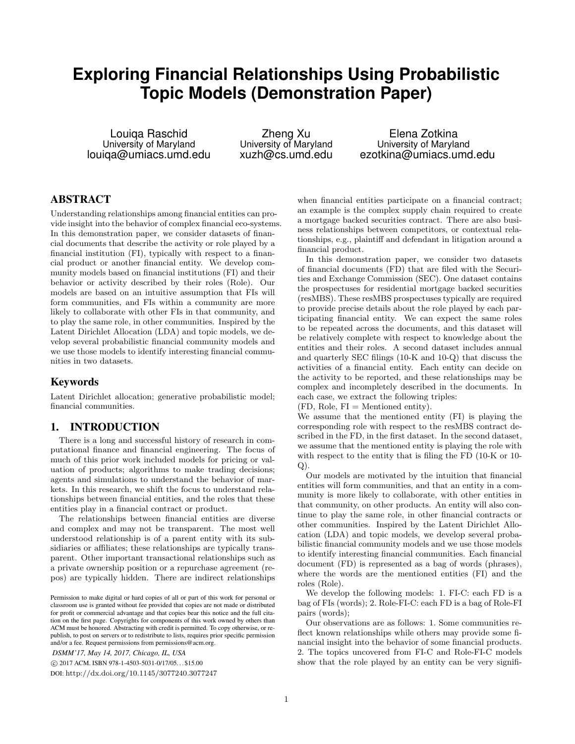# **Exploring Financial Relationships Using Probabilistic Topic Models (Demonstration Paper)**

Louiqa Raschid University of Maryland louiqa@umiacs.umd.edu

Zheng Xu University of Maryland xuzh@cs.umd.edu

Elena Zotkina University of Maryland ezotkina@umiacs.umd.edu

# ABSTRACT

Understanding relationships among financial entities can provide insight into the behavior of complex financial eco-systems. In this demonstration paper, we consider datasets of financial documents that describe the activity or role played by a financial institution (FI), typically with respect to a financial product or another financial entity. We develop community models based on financial institutions (FI) and their behavior or activity described by their roles (Role). Our models are based on an intuitive assumption that FIs will form communities, and FIs within a community are more likely to collaborate with other FIs in that community, and to play the same role, in other communities. Inspired by the Latent Dirichlet Allocation (LDA) and topic models, we develop several probabilistic financial community models and we use those models to identify interesting financial communities in two datasets.

### Keywords

Latent Dirichlet allocation; generative probabilistic model; financial communities.

# 1. INTRODUCTION

There is a long and successful history of research in computational finance and financial engineering. The focus of much of this prior work included models for pricing or valuation of products; algorithms to make trading decisions; agents and simulations to understand the behavior of markets. In this research, we shift the focus to understand relationships between financial entities, and the roles that these entities play in a financial contract or product.

The relationships between financial entities are diverse and complex and may not be transparent. The most well understood relationship is of a parent entity with its subsidiaries or affiliates; these relationships are typically transparent. Other important transactional relationships such as a private ownership position or a repurchase agreement (repos) are typically hidden. There are indirect relationships

*DSMM'17, May 14, 2017, Chicago, IL, USA*

c 2017 ACM. ISBN 978-1-4503-5031-0/17/05. . . \$15.00

DOI: http://dx.doi.org/10.1145/3077240.3077247

when financial entities participate on a financial contract; an example is the complex supply chain required to create a mortgage backed securities contract. There are also business relationships between competitors, or contextual relationships, e.g., plaintiff and defendant in litigation around a financial product.

In this demonstration paper, we consider two datasets of financial documents (FD) that are filed with the Securities and Exchange Commission (SEC). One dataset contains the prospectuses for residential mortgage backed securities (resMBS). These resMBS prospectuses typically are required to provide precise details about the role played by each participating financial entity. We can expect the same roles to be repeated across the documents, and this dataset will be relatively complete with respect to knowledge about the entities and their roles. A second dataset includes annual and quarterly SEC filings (10-K and 10-Q) that discuss the activities of a financial entity. Each entity can decide on the activity to be reported, and these relationships may be complex and incompletely described in the documents. In each case, we extract the following triples:

 $(FD, \text{ Role}, \text{FI} = \text{Method entity}).$ 

We assume that the mentioned entity (FI) is playing the corresponding role with respect to the resMBS contract described in the FD, in the first dataset. In the second dataset, we assume that the mentioned entity is playing the role with with respect to the entity that is filing the FD (10-K or 10- Q).

Our models are motivated by the intuition that financial entities will form communities, and that an entity in a community is more likely to collaborate, with other entities in that community, on other products. An entity will also continue to play the same role, in other financial contracts or other communities. Inspired by the Latent Dirichlet Allocation (LDA) and topic models, we develop several probabilistic financial community models and we use those models to identify interesting financial communities. Each financial document (FD) is represented as a bag of words (phrases), where the words are the mentioned entities (FI) and the roles (Role).

We develop the following models: 1. FI-C: each FD is a bag of FIs (words); 2. Role-FI-C: each FD is a bag of Role-FI pairs (words);

Our observations are as follows: 1. Some communities reflect known relationships while others may provide some financial insight into the behavior of some financial products. 2. The topics uncovered from FI-C and Role-FI-C models show that the role played by an entity can be very signifi-

Permission to make digital or hard copies of all or part of this work for personal or classroom use is granted without fee provided that copies are not made or distributed for profit or commercial advantage and that copies bear this notice and the full citation on the first page. Copyrights for components of this work owned by others than ACM must be honored. Abstracting with credit is permitted. To copy otherwise, or republish, to post on servers or to redistribute to lists, requires prior specific permission and/or a fee. Request permissions from permissions@acm.org.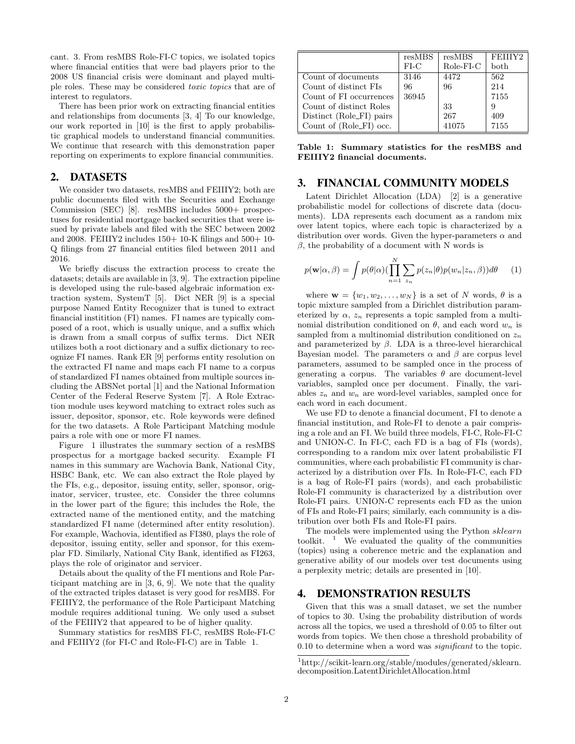cant. 3. From resMBS Role-FI-C topics, we isolated topics where financial entities that were bad players prior to the 2008 US financial crisis were dominant and played multiple roles. These may be considered toxic topics that are of interest to regulators.

There has been prior work on extracting financial entities and relationships from documents [3, 4] To our knowledge, our work reported in [10] is the first to apply probabilistic graphical models to understand financial communities. We continue that research with this demonstration paper reporting on experiments to explore financial communities.

#### 2. DATASETS

We consider two datasets, resMBS and FEIIIY2; both are public documents filed with the Securities and Exchange Commission (SEC) [8]. resMBS includes 5000+ prospectuses for residential mortgage backed securities that were issued by private labels and filed with the SEC between 2002 and 2008. FEIIIY2 includes  $150+10$ -K filings and  $500+10-$ Q filings from 27 financial entities filed between 2011 and 2016.

We briefly discuss the extraction process to create the datasets; details are available in [3, 9]. The extraction pipeline is developed using the rule-based algebraic information extraction system, SystemT [5]. Dict NER [9] is a special purpose Named Entity Recognizer that is tuned to extract financial institition (FI) names. FI names are typically composed of a root, which is usually unique, and a suffix which is drawn from a small corpus of suffix terms. Dict NER utilizes both a root dictionary and a suffix dictionary to recognize FI names. Rank ER [9] performs entity resolution on the extracted FI name and maps each FI name to a corpus of standardized FI names obtained from multiple sources including the ABSNet portal [1] and the National Information Center of the Federal Reserve System [7]. A Role Extraction module uses keyword matching to extract roles such as issuer, depositor, sponsor, etc. Role keywords were defined for the two datasets. A Role Participant Matching module pairs a role with one or more FI names.

Figure 1 illustrates the summary section of a resMBS prospectus for a mortgage backed security. Example FI names in this summary are Wachovia Bank, National City, HSBC Bank, etc. We can also extract the Role played by the FIs, e.g., depositor, issuing entity, seller, sponsor, originator, servicer, trustee, etc. Consider the three columns in the lower part of the figure; this includes the Role, the extracted name of the mentioned entity, and the matching standardized FI name (determined after entity resolution). For example, Wachovia, identified as FI380, plays the role of depositor, issuing entity, seller and sponsor, for this exemplar FD. Similarly, National City Bank, identified as FI263, plays the role of originator and servicer.

Details about the quality of the FI mentions and Role Participant matching are in [3, 6, 9]. We note that the quality of the extracted triples dataset is very good for resMBS. For FEIIIY2, the performance of the Role Participant Matching module requires additional tuning. We only used a subset of the FEIIIY2 that appeared to be of higher quality.

Summary statistics for resMBS FI-C, resMBS Role-FI-C and FEIIIY2 (for FI-C and Role-FI-C) are in Table 1.

|                          | resMBS | resMBS    | FEIIIY2 |
|--------------------------|--------|-----------|---------|
|                          | FLC    | Role-FI-C | both    |
| Count of documents       | 3146   | 4472      | 562     |
| Count of distinct FIs    | 96     | 96        | 214     |
| Count of FI occurrences  | 36945  |           | 7155    |
| Count of distinct Roles  |        | 33        | 9       |
| Distinct (Role_FI) pairs |        | 267       | 409     |
| Count of (Role_FI) occ.  |        | 41075     | 7155    |

Table 1: Summary statistics for the resMBS and FEIIIY2 financial documents.

#### 3. FINANCIAL COMMUNITY MODELS

Latent Dirichlet Allocation (LDA) [2] is a generative probabilistic model for collections of discrete data (documents). LDA represents each document as a random mix over latent topics, where each topic is characterized by a distribution over words. Given the hyper-parameters  $\alpha$  and  $β$ , the probability of a document with N words is

$$
p(\mathbf{w}|\alpha,\beta) = \int p(\theta|\alpha) (\prod_{n=1}^{N} \sum_{z_n} p(z_n|\theta) p(w_n|z_n,\beta)) d\theta \qquad (1)
$$

where  $\mathbf{w} = \{w_1, w_2, \dots, w_N\}$  is a set of N words,  $\theta$  is a topic mixture sampled from a Dirichlet distribution parameterized by  $\alpha$ ,  $z_n$  represents a topic sampled from a multinomial distribution conditioned on  $\theta$ , and each word  $w_n$  is sampled from a multinomial distribution conditioned on  $z_n$ and parameterized by  $\beta$ . LDA is a three-level hierarchical Bayesian model. The parameters  $\alpha$  and  $\beta$  are corpus level parameters, assumed to be sampled once in the process of generating a corpus. The variables  $\theta$  are document-level variables, sampled once per document. Finally, the variables  $z_n$  and  $w_n$  are word-level variables, sampled once for each word in each document.

We use FD to denote a financial document, FI to denote a financial institution, and Role-FI to denote a pair comprising a role and an FI. We build three models, FI-C, Role-FI-C and UNION-C. In FI-C, each FD is a bag of FIs (words), corresponding to a random mix over latent probabilistic FI communities, where each probabilistic FI community is characterized by a distribution over FIs. In Role-FI-C, each FD is a bag of Role-FI pairs (words), and each probabilistic Role-FI community is characterized by a distribution over Role-FI pairs. UNION-C represents each FD as the union of FIs and Role-FI pairs; similarly, each community is a distribution over both FIs and Role-FI pairs.

The models were implemented using the Python sklearn toolkit.  $\frac{1}{1}$  We evaluated the quality of the communities (topics) using a coherence metric and the explanation and generative ability of our models over test documents using a perplexity metric; details are presented in [10].

#### 4. DEMONSTRATION RESULTS

Given that this was a small dataset, we set the number of topics to 30. Using the probability distribution of words across all the topics, we used a threshold of 0.05 to filter out words from topics. We then chose a threshold probability of 0.10 to determine when a word was *significant* to the topic.

<sup>1</sup>http://scikit-learn.org/stable/modules/generated/sklearn. decomposition.LatentDirichletAllocation.html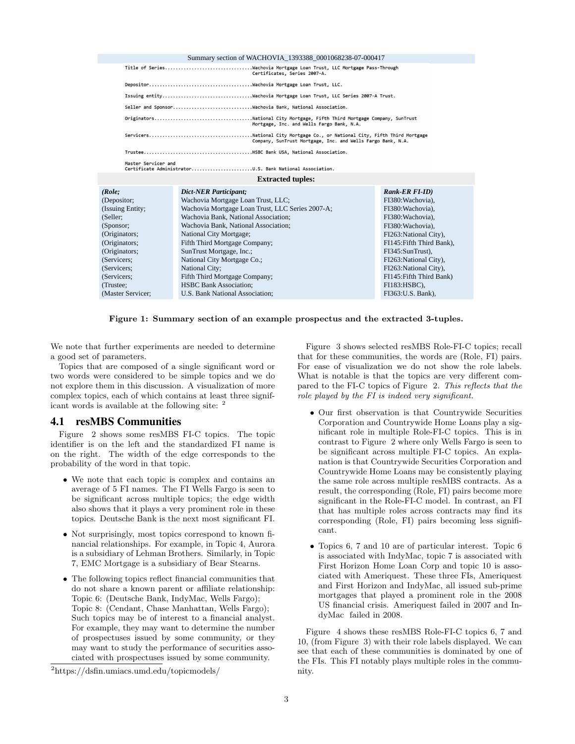|                                                                      | Summary section of WACHOVIA 1393388 0001068238-07-000417    |                           |  |  |
|----------------------------------------------------------------------|-------------------------------------------------------------|---------------------------|--|--|
|                                                                      | Certificates, Series 2007-A.                                |                           |  |  |
|                                                                      |                                                             |                           |  |  |
|                                                                      |                                                             |                           |  |  |
|                                                                      |                                                             |                           |  |  |
|                                                                      | Mortgage, Inc. and Wells Fargo Bank, N.A.                   |                           |  |  |
|                                                                      | Company, SunTrust Mortgage, Inc. and Wells Fargo Bank, N.A. |                           |  |  |
|                                                                      |                                                             |                           |  |  |
| Master Servicer and                                                  | Certificate AdministratorU.S. Bank National Association.    |                           |  |  |
| <b>Extracted tuples:</b>                                             |                                                             |                           |  |  |
| (Role:                                                               | <b>Dict-NER Participant:</b>                                | $Rank-ER$ $FI$ - $ID$ )   |  |  |
| (Depositor;                                                          | Wachovia Mortgage Loan Trust, LLC;                          | FI380: Wachovia).         |  |  |
| (Issuing Entity:<br>Wachovia Mortgage Loan Trust, LLC Series 2007-A; |                                                             | FI380: Wachovia).         |  |  |
| (Seller:<br>Wachovia Bank, National Association:                     |                                                             | FI380: Wachovia).         |  |  |
| Wachovia Bank, National Association;<br>(Sponsor;                    |                                                             | FI380: Wachovia).         |  |  |
| (Originators;<br>National City Mortgage;                             |                                                             | FI263: National City),    |  |  |
| (Originators;<br>Fifth Third Mortgage Company;                       |                                                             | FI145: Fifth Third Bank). |  |  |
| (Originators;<br>SunTrust Mortgage, Inc.;                            |                                                             | FI345:SunTrust).          |  |  |
| National City Mortgage Co.;<br>(Servicers;                           |                                                             | FI263: National City),    |  |  |
| National City;<br>(Servicers:                                        |                                                             | FI263: National City),    |  |  |
| Fifth Third Mortgage Company;<br>(Servicers:                         |                                                             | FI145: Fifth Third Bank)  |  |  |
| <b>HSBC Bank Association:</b><br>(Trustee:                           |                                                             | $FI183:HSBC$ ).           |  |  |
| (Master Servicer;                                                    | U.S. Bank National Association;<br>FI363: U.S. Bank),       |                           |  |  |
|                                                                      |                                                             |                           |  |  |

Figure 1: Summary section of an example prospectus and the extracted 3-tuples.

We note that further experiments are needed to determine a good set of parameters.

Topics that are composed of a single significant word or two words were considered to be simple topics and we do not explore them in this discussion. A visualization of more complex topics, each of which contains at least three significant words is available at the following site: <sup>2</sup>

#### 4.1 resMBS Communities

Figure 2 shows some resMBS FI-C topics. The topic identifier is on the left and the standardized FI name is on the right. The width of the edge corresponds to the probability of the word in that topic.

- We note that each topic is complex and contains an average of 5 FI names. The FI Wells Fargo is seen to be significant across multiple topics; the edge width also shows that it plays a very prominent role in these topics. Deutsche Bank is the next most significant FI.
- Not surprisingly, most topics correspond to known financial relationships. For example, in Topic 4, Aurora is a subsidiary of Lehman Brothers. Similarly, in Topic 7, EMC Mortgage is a subsidiary of Bear Stearns.
- The following topics reflect financial communities that do not share a known parent or affiliate relationship: Topic 6: (Deutsche Bank, IndyMac, Wells Fargo); Topic 8: (Cendant, Chase Manhattan, Wells Fargo); Such topics may be of interest to a financial analyst. For example, they may want to determine the number of prospectuses issued by some community, or they may want to study the performance of securities associated with prospectuses issued by some community.

Figure 3 shows selected resMBS Role-FI-C topics; recall that for these communities, the words are (Role, FI) pairs. For ease of visualization we do not show the role labels. What is notable is that the topics are very different compared to the FI-C topics of Figure 2. This reflects that the role played by the FI is indeed very significant.

- Our first observation is that Countrywide Securities Corporation and Countrywide Home Loans play a significant role in multiple Role-FI-C topics. This is in contrast to Figure 2 where only Wells Fargo is seen to be significant across multiple FI-C topics. An explanation is that Countrywide Securities Corporation and Countrywide Home Loans may be consistently playing the same role across multiple resMBS contracts. As a result, the corresponding (Role, FI) pairs become more significant in the Role-FI-C model. In contrast, an FI that has multiple roles across contracts may find its corresponding (Role, FI) pairs becoming less significant.
- Topics 6, 7 and 10 are of particular interest. Topic 6 is associated with IndyMac, topic 7 is associated with First Horizon Home Loan Corp and topic 10 is associated with Ameriquest. These three FIs, Ameriquest and First Horizon and IndyMac, all issued sub-prime mortgages that played a prominent role in the 2008 US financial crisis. Ameriquest failed in 2007 and IndyMac failed in 2008.

Figure 4 shows these resMBS Role-FI-C topics 6, 7 and 10, (from Figure 3) with their role labels displayed. We can see that each of these communities is dominated by one of the FIs. This FI notably plays multiple roles in the community.

<sup>2</sup>https://dsfin.umiacs.umd.edu/topicmodels/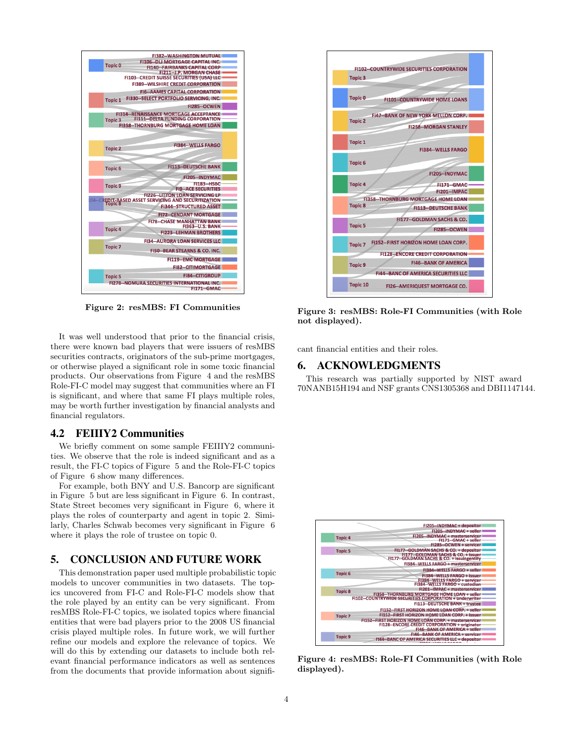

Figure 2: resMBS: FI Communities

It was well understood that prior to the financial crisis, there were known bad players that were issuers of resMBS securities contracts, originators of the sub-prime mortgages, or otherwise played a significant role in some toxic financial products. Our observations from Figure 4 and the resMBS Role-FI-C model may suggest that communities where an FI is significant, and where that same FI plays multiple roles, may be worth further investigation by financial analysts and financial regulators.

#### 4.2 FEIIIY2 Communities

We briefly comment on some sample FEIIIY2 communities. We observe that the role is indeed significant and as a result, the FI-C topics of Figure 5 and the Role-FI-C topics of Figure 6 show many differences.

For example, both BNY and U.S. Bancorp are significant in Figure 5 but are less significant in Figure 6. In contrast, State Street becomes very significant in Figure 6, where it plays the roles of counterparty and agent in topic 2. Similarly, Charles Schwab becomes very significant in Figure 6 where it plays the role of trustee on topic 0.

# 5. CONCLUSION AND FUTURE WORK

This demonstration paper used multiple probabilistic topic models to uncover communities in two datasets. The topics uncovered from FI-C and Role-FI-C models show that the role played by an entity can be very significant. From resMBS Role-FI-C topics, we isolated topics where financial entities that were bad players prior to the 2008 US financial crisis played multiple roles. In future work, we will further refine our models and explore the relevance of topics. We will do this by extending our datasets to include both relevant financial performance indicators as well as sentences from the documents that provide information about signifi-



Figure 3: resMBS: Role-FI Communities (with Role not displayed).

cant financial entities and their roles.

# 6. ACKNOWLEDGMENTS

This research was partially supported by NIST award 70NANB15H194 and NSF grants CNS1305368 and DBI1147144.



Figure 4: resMBS: Role-FI Communities (with Role displayed).